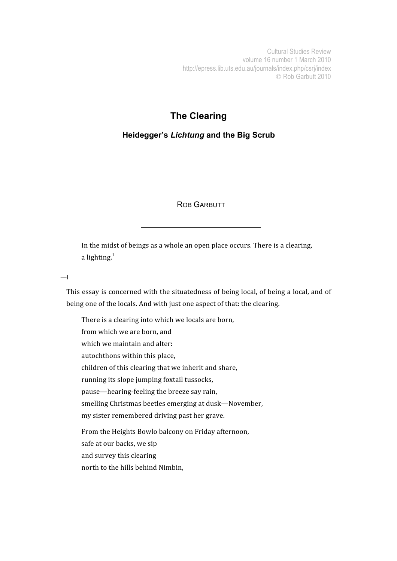Cultural Studies Review volume 16 number 1 March 2010 http://epress.lib.uts.edu.au/journals/index.php/csrj/index C Rob Garbutt 2010

## **The Clearing**

## **Heidegger's** *Lichtung* **and the Big Scrub**

ROB GARBUTT

In the midst of beings as a whole an open place occurs. There is a clearing, a lighting. $<sup>1</sup>$ </sup>

 $\equiv$ 

This essay is concerned with the situatedness of being local, of being a local, and of being
one
of
the
locals.
And
with
just
one
aspect
of
that:
the
clearing.

There
is
a
clearing
into
which
we
locals
are
born, from
which
we
are
born,
and which we maintain and alter: autochthons
within
this
place, children
of
this
clearing
that
we
inherit
and
share, running
its
slope
jumping
foxtail
tussocks, pause—hearing‐feeling
the
breeze
say
rain, smelling
Christmas
beetles
emerging
at
dusk—November, my
sister
remembered
driving
past
her
grave. From
the
Heights
Bowlo
balcony
on
Friday
afternoon, safe
at
our
backs,
we
sip and
survey
this
clearing north
to
the
hills
behind
Nimbin,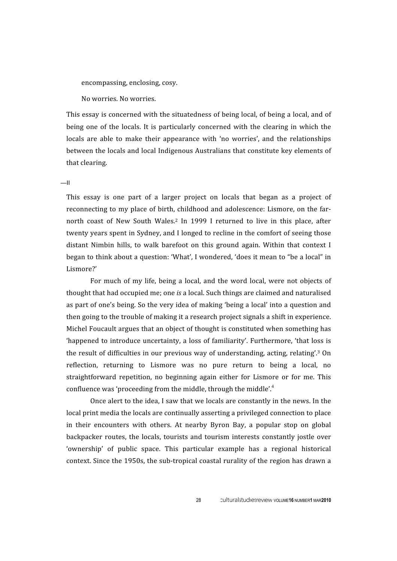encompassing, enclosing, cosy.

No
worries.
No
worries.

This essay is concerned with the situatedness of being local, of being a local, and of being one of the locals. It is particularly concerned with the clearing in which the locals are able to make their appearance with 'no worries', and the relationships between
the
locals
and
local
Indigenous
Australians
that
constitute
key
elements
of that
clearing.

## $=$ II

This essay is one part of a larger project on locals that began as a project of reconnecting to my place of birth, childhood and adolescence: Lismore, on the farnorth coast of New South Wales.<sup>2</sup> In 1999 I returned to live in this place, after twenty years spent in Sydney, and I longed to recline in the comfort of seeing those distant Nimbin hills, to walk barefoot on this ground again. Within that context I began to think about a question: 'What', I wondered, 'does it mean to "be a local" in Lismore?'

For much of my life, being a local, and the word local, were not objects of thought
that
had
occupied
me;
one *is*a
local.
Such
things
are
claimed
and
naturalised as
part
of
one's
being.
So
the
very
idea
of
making
'being
a
local'
into
a
question
and then going to the trouble of making it a research project signals a shift in experience. Michel Foucault argues that an object of thought is constituted when something has 'happened to introduce uncertainty, a loss of familiarity'. Furthermore, 'that loss is the result of difficulties in our previous way of understanding, acting, relating'.<sup>3</sup> On reflection, returning to Lismore was no pure return to being a local, no straightforward repetition, no beginning again either for Lismore or for me. This confluence was 'proceeding from the middle, through the middle'.<sup>4</sup>

Once alert to the idea. I saw that we locals are constantly in the news. In the local print media the locals are continually asserting a privileged connection to place in their encounters with others. At nearby Byron Bay, a popular stop on global backpacker
 routes,
 the
locals,
 tourists
 and
 tourism
interests
 constantly
jostle
 over 'ownership' of public space. This particular example has a regional historical context. Since the 1950s, the sub-tropical coastal rurality of the region has drawn a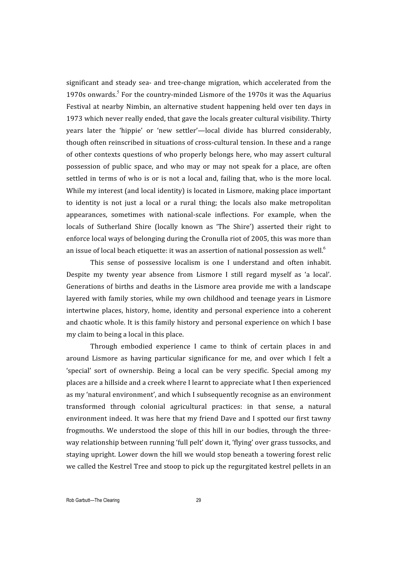significant and steady sea- and tree-change migration, which accelerated from the 1970s onwards.<sup>5</sup> For the country-minded Lismore of the 1970s it was the Aquarius Festival at nearby Nimbin, an alternative student happening held over ten days in 1973
which
never
really
ended,
that
gave
the
locals
greater
cultural
visibility.
Thirty years
 later
 the
 'hippie'
 or
 'new
 settler'—local
 divide
 has
 blurred
 considerably, though often reinscribed in situations of cross-cultural tension. In these and a range of
other
contexts
questions
of
who
properly
belongs
here,
who
may
assert
cultural possession of public space, and who may or may not speak for a place, are often settled in terms of who is or is not a local and, failing that, who is the more local. While my interest (and local identity) is located in Lismore, making place important to identity is not just a local or a rural thing; the locals also make metropolitan appearances,
 sometimes
 with
 national‐scale
 inflections.
 For
 example,
 when
 the locals of Sutherland Shire (locally known as 'The Shire') asserted their right to enforce
local
ways
of
belonging
during
the
Cronulla
riot
of
2005,
this
was
more
than an issue of local beach etiquette: it was an assertion of national possession as well.<sup>6</sup>

This sense of possessive localism is one I understand and often inhabit. Despite my twenty year absence from Lismore I still regard myself as 'a local'. Generations of births and deaths in the Lismore area provide me with a landscape layered
with
 family
stories,
while
my
own
childhood
and
 teenage
years
in
Lismore intertwine places,
 history,
 home,
identity
 and
 personal
 experience
into
 a coherent and chaotic whole. It is this family history and personal experience on which I base my claim to being a local in this place.

Through embodied experience I came to think of certain places in and around
 Lismore
 as
 having
 particular
 significance
 for
 me,
 and
 over
 which
 I
 felt
 a 'special' sort of ownership. Being a local can be very specific. Special among my places
are
a
hillside
and
a
creek
where
I
learnt
to
appreciate
what
I
then
experienced as
my
'natural
environment',
and
which
I
subsequently
recognise
as
an
environment transformed
 through colonial
 agricultural
 practices: in
 that
 sense,
 a
 natural environment indeed. It was here that my friend Dave and I spotted our first tawny frogmouths. We understood the slope of this hill in our bodies, through the threeway
relationship
between
running
'full
pelt'
down
it,
'flying'
over
grass
tussocks,
and staying
upright.
Lower
down
the
hill
we
would
stop
beneath
a
towering
forest
relic we called the Kestrel Tree and stoop to pick up the regurgitated kestrel pellets in an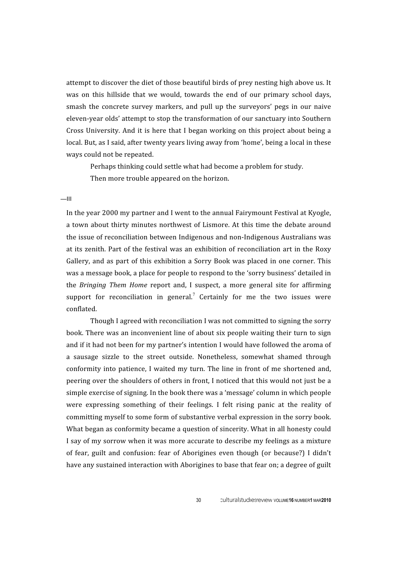attempt
to
discover
the
diet
of
those
beautiful
birds
of
prey
nesting
high
above
us.
It was on this hillside that we would, towards the end of our primary school days, smash the concrete survey markers, and pull up the surveyors' pegs in our naive eleven-year olds' attempt to stop the transformation of our sanctuary into Southern Cross University. And it is here that I began working on this project about being a local. But, as I said, after twenty years living away from 'home', being a local in these ways
could
not
be
repeated.

Perhaps thinking could settle what had become a problem for study. Then
more
trouble
appeared
on
the
horizon.

## $-\mathbf{III}$

In the year 2000 my partner and I went to the annual Fairymount Festival at Kyogle, a town about thirty minutes northwest of Lismore. At this time the debate around the
issue
of
reconciliation
between
Indigenous
and
non‐Indigenous
Australians
was at
its
zenith.
Part
 of
 the
 festival
was
an
exhibition
 of
 reconciliation
art
in
 the
Roxy Gallery, and as part of this exhibition a Sorry Book was placed in one corner. This was
a
message
book,
a
place
for
people
to
respond
to
the
'sorry
business'
detailed
in the *Bringing Them Home* report and, I suspect, a more general site for affirming support for reconciliation in general.<sup>7</sup> Certainly for me the two issues were conflated.

Though
I
agreed
with
reconciliation
I
was
not
committed
to
signing
the
sorry book.
There
was
an
inconvenient
line
of
about
six
people
waiting
their
turn
to
sign and
if
it
had
not
been
for
my
partner's
intention
I
would
have
followed
the
aroma
of a sausage sizzle to the street outside. Nonetheless, somewhat shamed through conformity into patience. I waited my turn. The line in front of me shortened and. peering over the shoulders of others in front, I noticed that this would not just be a simple exercise of signing. In the book there was a 'message' column in which people were expressing something of their feelings. I felt rising panic at the reality of committing
myself
to
some
form
of
substantive
verbal
expression
in
the
sorry
book. What began as conformity became a question of sincerity. What in all honesty could I say of my sorrow when it was more accurate to describe my feelings as a mixture of fear, guilt and confusion: fear of Aborigines even though (or because?) I didn't have any sustained interaction with Aborigines to base that fear on; a degree of guilt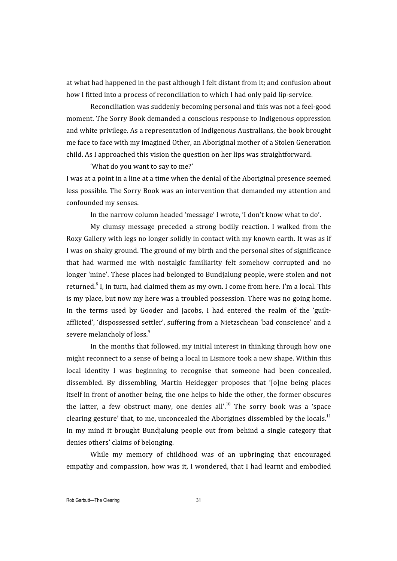at what had happened in the past although I felt distant from it; and confusion about how I fitted into a process of reconciliation to which I had only paid lip-service.

Reconciliation
was
suddenly
becoming
personal
and
this
was
not
a
feel‐good moment.
The
Sorry
Book
demanded
a
conscious
response
to
Indigenous
oppression and
white
privilege.
As
a
representation
of
Indigenous
Australians,
the
book
brought me
face
to
face
with
my
imagined
Other,
an
Aboriginal
mother
of
a
Stolen
Generation child.
As
I
approached
this
vision
the
question
on
her
lips
was
straightforward.

'What do you want to say to me?'

I was at a point in a line at a time when the denial of the Aboriginal presence seemed less
possible.
The
Sorry
Book
was
an
intervention
that
demanded
my
attention
and confounded
my
senses.

In the narrow column headed 'message' I wrote, 'I don't know what to do'.

My
 clumsy
 message
 preceded
 a
 strong
 bodily
 reaction.
 I
 walked
 from
 the Roxy Gallery with legs no longer solidly in contact with my known earth. It was as if I was on shaky ground. The ground of my birth and the personal sites of significance that
 had
 warmed
 me
 with
 nostalgic
 familiarity
 felt
 somehow
 corrupted
 and
 no longer
'mine'.
These
places
had
belonged
to
Bundjalung
people,
were
stolen
and
not returned.<sup>8</sup> I, in turn, had claimed them as my own. I come from here. I'm a local. This is
my
place,
but
now
my
here
was
a
troubled
possession.
There
was
no
going
home. In the terms used by Gooder and Jacobs. I had entered the realm of the 'guiltafflicted',
'dispossessed
settler',
suffering
from
a
Nietzschean
'bad
conscience'
and
a severe melancholy of loss.<sup>9</sup>

In the months that followed, my initial interest in thinking through how one might
reconnect
to
a
sense
of
being
a
local
in
Lismore
took
a
new
shape.
Within
this local identity I was beginning to recognise that someone had been concealed, dissembled. By dissembling, Martin Heidegger proposes that '[o]ne being places itself
in
front
of
another
being,
the
one
helps
to
hide
the
other,
the
former
obscures the latter, a few obstruct many, one denies all',<sup>10</sup> The sorry book was a 'space clearing gesture' that, to me, unconcealed the Aborigines dissembled by the locals.<sup>11</sup> In my mind it brought Bundjalung people out from behind a single category that denies
others'
claims
of
belonging.

While my memory of childhood was of an upbringing that encouraged empathy and compassion, how was it, I wondered, that I had learnt and embodied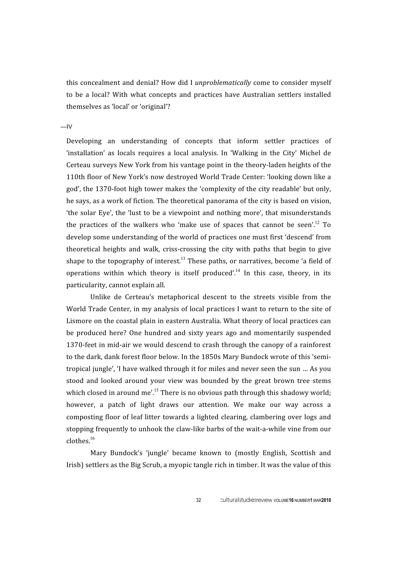this
concealment
and
denial?
How
did
 I *unproblematically*come
 to
consider
myself to be a local? With what concepts and practices have Australian settlers installed themselves
as
'local'
or
'original'?

 $-IV$ 

Developing an understanding of concepts that inform settler practices of 'installation' as locals requires a local analysis. In 'Walking in the City' Michel de Certeau
surveys
New
York
from
his
vantage
point
in
the
theory‐laden
heights
of
the 110th floor of New York's now destroyed World Trade Center: 'looking down like a god',
the
1370‐foot
high
tower
makes
the
'complexity
of
the
city
readable'
but
only, he says, as a work of fiction. The theoretical panorama of the city is based on vision, 'the solar Eye', the 'lust to be a viewpoint and nothing more', that misunderstands the practices of the walkers who 'make use of spaces that cannot be seen'.<sup>12</sup> To develop some understanding of the world of practices one must first 'descend' from theoretical heights and walk, criss-crossing the city with paths that begin to give shape to the topography of interest.<sup>13</sup> These paths, or narratives, become 'a field of operations within which theory is itself produced'.<sup>14</sup> In this case, theory, in its particularity,
cannot
explain
all.

Unlike de Certeau's metaphorical descent to the streets visible from the World Trade Center, in my analysis of local practices I want to return to the site of Lismore on the coastal plain in eastern Australia. What theory of local practices can be
 produced
 here?
 One
 hundred
 and
 sixty
 years
 ago
 and
 momentarily
 suspended 1370-feet in mid-air we would descend to crash through the canopy of a rainforest to the dark, dank forest floor below. In the 1850s Mary Bundock wrote of this 'semitropical
jungle',
'I
have
walked
through
it
for
miles
and
never
seen
the
sun
…
As
you stood and looked around your view was bounded by the great brown tree stems which closed in around me'.<sup>15</sup> There is no obvious path through this shadowy world: however, a patch of light draws our attention. We make our way across a composting
 floor
of
leaf
litter
 towards
a
lighted
clearing,
clambering
over
logs
and stopping frequently to unhook the claw-like barbs of the wait-a-while vine from our clothes.<sup>16</sup>

Mary Bundock's 'jungle' became known to (mostly English, Scottish and Irish) settlers as the Big Scrub, a myopic tangle rich in timber. It was the value of this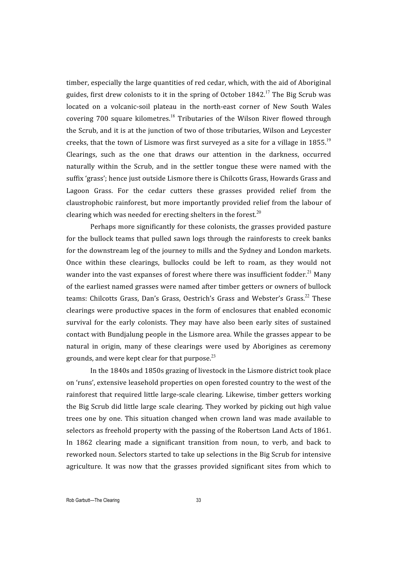timber, especially the large quantities of red cedar, which, with the aid of Aboriginal guides, first drew colonists to it in the spring of October  $1842$ <sup>17</sup>. The Big Scrub was located on a volcanic-soil plateau in the north-east corner of New South Wales covering 700 square kilometres.<sup>18</sup> Tributaries of the Wilson River flowed through the Scrub, and it is at the junction of two of those tributaries, Wilson and Leycester creeks, that the town of Lismore was first surveyed as a site for a village in  $1855$ .<sup>19</sup> Clearings, such as the one that draws our attention in the darkness, occurred naturally
 within
 the
 Scrub,
 and
 in
 the
 settler
 tongue
 these
 were
 named
 with
 the suffix 'grass'; hence just outside Lismore there is Chilcotts Grass, Howards Grass and Lagoon Grass. For the cedar cutters these grasses provided relief from the claustrophobic
 rainforest,
but
more
importantly
provided
 relief
 from
 the
labour
 of clearing which was needed for erecting shelters in the forest. $^{20}$ 

Perhaps
more
significantly
for
these
colonists,
the
grasses
provided
pasture for the bullock teams that pulled sawn logs through the rainforests to creek banks for the downstream leg of the journey to mills and the Sydney and London markets. Once within these clearings, bullocks could be left to roam, as they would not wander into the vast expanses of forest where there was insufficient fodder.<sup>21</sup> Many of
the
earliest
named
grasses
were
named
after
timber
getters
or
owners
of
bullock teams: Chilcotts Grass, Dan's Grass, Oestrich's Grass and Webster's Grass.<sup>22</sup> These clearings
were
 productive
 spaces
in
 the
 form
 of
enclosures
 that
enabled
economic survival for the early colonists. They may have also been early sites of sustained contact
with Bundjalung
people
in
the
Lismore
area.
While
the
grasses
appear
to
be natural
 in
 origin,
 many
 of
 these
 clearings
 were
 used
 by
 Aborigines
 as
 ceremony grounds, and were kept clear for that purpose. $^{23}$ 

In the 1840s and 1850s grazing of livestock in the Lismore district took place on 'runs', extensive leasehold properties on open forested country to the west of the rainforest that required little large-scale clearing. Likewise, timber getters working the Big Scrub did little large scale clearing. They worked by picking out high value trees one by one. This situation changed when crown land was made available to selectors as freehold property with the passing of the Robertson Land Acts of 1861. In 1862 clearing made a significant transition from noun, to verb, and back to reworked noun. Selectors started to take up selections in the Big Scrub for intensive agriculture. It was now that the grasses provided significant sites from which to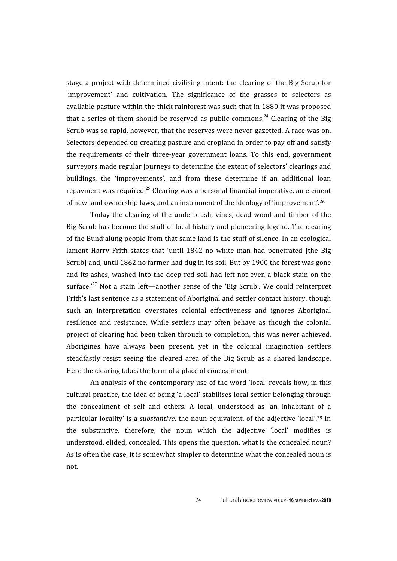stage a project with determined civilising intent: the clearing of the Big Scrub for 'improvement' and cultivation. The significance of the grasses to selectors as available
pasture
within
the
thick
rainforest
was
such
that
in
1880
it
was
proposed that a series of them should be reserved as public commons.<sup>24</sup> Clearing of the Big Scrub was so rapid, however, that the reserves were never gazetted. A race was on. Selectors depended on creating pasture and cropland in order to pay off and satisfy the requirements of their three-year government loans. To this end, government surveyors made regular journeys to determine the extent of selectors' clearings and buildings, the 'improvements', and from these determine if an additional loan repayment was required.<sup>25</sup> Clearing was a personal financial imperative, an element of new land ownership laws, and an instrument of the ideology of 'improvement'.<sup>26</sup>

Today the clearing of the underbrush, vines, dead wood and timber of the Big Scrub has become the stuff of local history and pioneering legend. The clearing of
the
Bundjalung
people
from
that
same
land
is
the
stuff
of
silence.
In
an
ecological lament Harry Frith states that 'until 1842 no white man had penetrated [the Big Scrub] and, until 1862 no farmer had dug in its soil. But by 1900 the forest was gone and its ashes, washed into the deep red soil had left not even a black stain on the surface.<sup>27</sup> Not a stain left—another sense of the 'Big Scrub'. We could reinterpret Frith's last sentence as a statement of Aboriginal and settler contact history, though such
 an
 interpretation
 overstates
 colonial
 effectiveness
 and
 ignores
 Aboriginal resilience and resistance. While settlers may often behave as though the colonial project
of
clearing
had
been
 taken
 through
 to
completion,
 this
was
never
achieved. Aborigines
 have
 always
 been
 present,
 yet
 in
 the
 colonial
 imagination
 settlers steadfastly resist seeing the cleared area of the Big Scrub as a shared landscape. Here
the
clearing
takes
the
form
of
a
place
of
concealment.

An analysis of the contemporary use of the word 'local' reveals how, in this cultural
practice,
the
idea
of
being
'a
local'
stabilises
local
settler
belonging
through the concealment of self and others. A local, understood as 'an inhabitant of a particular locality' is a *substantive*, the noun-equivalent, of the adjective 'local'.<sup>28</sup> In the substantive, therefore, the noun which the adjective 'local' modifies is understood, elided, concealed. This opens the question, what is the concealed noun? As is often the case, it is somewhat simpler to determine what the concealed noun is not.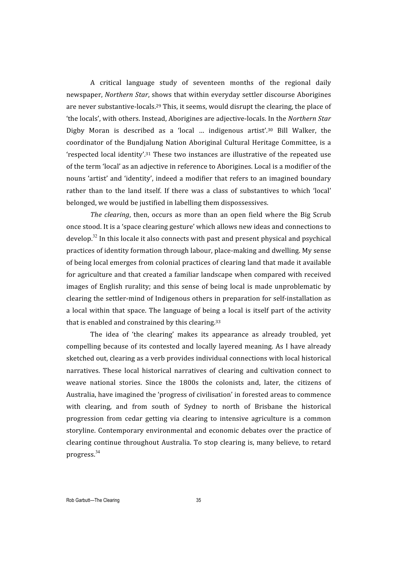A
 critical
 language
 study
 of
 seventeen
 months
 of
 the
 regional
 daily newspaper, *Northern
Star*,
shows
that
within
everyday
settler
discourse
Aborigines are
never
substantive‐locals.29
This,
it
seems,
would
disrupt
the
clearing,
the
place
of 'the
locals',
with
others.
Instead,
Aborigines
are
adjective‐locals.
In
the*Northern
Star* Digby Moran is described as a 'local ... indigenous artist'.<sup>30</sup> Bill Walker, the coordinator
 of
the
Bundjalung
Nation
Aboriginal
 Cultural
Heritage
 Committee,
is
a 'respected
local
identity'.31
These
 two
instances
are
illustrative
of
 the
repeated
use of the term 'local' as an adjective in reference to Aborigines. Local is a modifier of the nouns
'artist'
and
'identity',
indeed
a
modifier
 that
refers
 to
an
imagined
boundary rather than to the land itself. If there was a class of substantives to which 'local' belonged,
we
would
be
justified
in
labelling
them
dispossessives.

The clearing, then, occurs as more than an open field where the Big Scrub once
stood.
It
is
a
'space
clearing
gesture'
which
allows
new
ideas
and
connections
to  $\frac{1}{2}$  develop.<sup>32</sup> In this locale it also connects with past and present physical and psychical practices
of
identity
formation
through labour,
place‐making
and
dwelling.
My
sense of
being
local
emerges
from
colonial
practices
of
clearing
land
that
made
it
available for
agriculture
and
that
created
a
familiar
landscape
when
compared
with
received images of English rurality; and this sense of being local is made unproblematic by clearing
the
settler‐mind
of
Indigenous
others
in
preparation
for
self‐installation
as a local within that space. The language of being a local is itself part of the activity that is enabled and constrained by this clearing.<sup>33</sup>

The idea of 'the clearing' makes its appearance as already troubled, vet compelling
because
of
its
contested
and
locally
layered
meaning.
As
 I
have
already sketched out, clearing as a verb provides individual connections with local historical narratives. These local historical narratives of clearing and cultivation connect to weave national stories. Since the 1800s the colonists and, later, the citizens of Australia,
have
imagined
the
'progress
of
civilisation'
in
forested
areas
to
commence with clearing, and from south of Sydney to north of Brisbane the historical progression from cedar getting via clearing to intensive agriculture is a common storyline.
Contemporary
environmental
and
economic
debates
 over
 the
practice
 of clearing
continue
 throughout
Australia.
To
stop
clearing
is,
many
believe,
 to
retard progress.<sup>34</sup>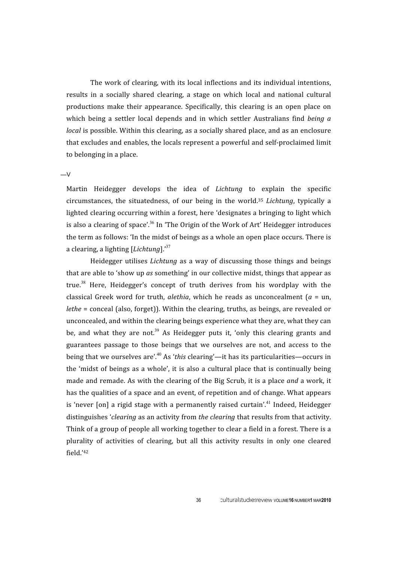The work of clearing, with its local inflections and its individual intentions, results in a socially shared clearing, a stage on which local and national cultural productions
 make
 their
 appearance. Specifically,
 this
 clearing
 is
 an
 open
 place on which being a settler local depends and in which settler Australians find being a *local* is possible. Within this clearing, as a socially shared place, and as an enclosure that excludes and enables, the locals represent a powerful and self-proclaimed limit to
belonging
in
a
place.

 $-V$ 

Martin Heidegger develops the idea of *Lichtung* to explain the specific circumstances, the situatedness, of our being in the world.<sup>35</sup> *Lichtung*, typically a lighted clearing occurring within a forest, here 'designates a bringing to light which is also a clearing of space'.<sup>36</sup> In 'The Origin of the Work of Art' Heidegger introduces the term as follows: 'In the midst of beings as a whole an open place occurs. There is a clearing, a lighting [*Lichtung*].'<sup>37</sup>

Heidegger utilises *Lichtung* as a way of discussing those things and beings that are able to 'show up as something' in our collective midst, things that appear as true.<sup>38</sup> Here, Heidegger's concept of truth derives from his wordplay with the classical
 Greek
 word
 for
 truth, *alethia*,
 which
 he
 reads
 as
 unconcealment
 (*a*  =
 un, *lethe* = conceal (also, forget)). Within the clearing, truths, as beings, are revealed or unconcealed, and within the clearing beings experience what they are, what they can be, and what they are not.<sup>39</sup> As Heidegger puts it, 'only this clearing grants and guarantees passage to those beings that we ourselves are not, and access to the being that we ourselves are'.<sup>40</sup> As '*this* clearing'—it has its particularities—occurs in the 'midst of beings as a whole', it is also a cultural place that is continually being made and remade. As with the clearing of the Big Scrub, it is a place and a work, it has the qualities of a space and an event, of repetition and of change. What appears is 'never [on] a rigid stage with a permanently raised curtain'.<sup>41</sup> Indeed, Heidegger distinguishes *'clearing* as an activity from *the clearing* that results from that activity. Think of a group of people all working together to clear a field in a forest. There is a plurality of activities of clearing, but all this activity results in only one cleared field.'42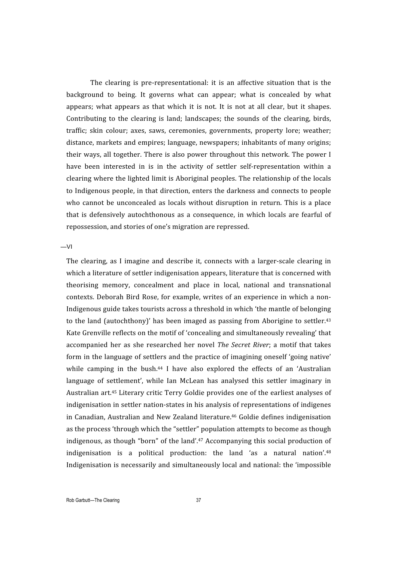The clearing is pre-representational: it is an affective situation that is the background to being. It governs what can appear; what is concealed by what appears; what appears as that which it is not. It is not at all clear, but it shapes. Contributing to the clearing is land; landscapes; the sounds of the clearing, birds, traffic;
 skin
 colour;
 axes,
 saws,
 ceremonies,
 governments,
 property
 lore;
 weather; distance,
markets
and
empires;
language,
newspapers;
inhabitants
of
many
origins; their ways, all together. There is also power throughout this network. The power I have been interested in is in the activity of settler self-representation within a clearing
where
the
lighted
limit
is
Aboriginal
peoples.
The
relationship
of
the
locals to Indigenous people, in that direction, enters the darkness and connects to people who cannot be unconcealed as locals without disruption in return. This is a place that is defensively autochthonous as a consequence, in which locals are fearful of repossession,
and
stories
of
one's
migration
are
repressed.

—VI

The clearing, as I imagine and describe it, connects with a larger-scale clearing in which a literature of settler indigenisation appears, literature that is concerned with theorising
 memory,
 concealment
 and
 place
 in
 local,
 national
 and
 transnational contexts.
Deborah
Bird
Rose,
 for
example,
writes
 of
an
experience
in
which
a
non‐ Indigenous
guide
takes
tourists
across
a
threshold
in
which
'the
mantle
of
belonging to the land (autochthony)' has been imaged as passing from Aborigine to settler.<sup>43</sup> Kate
Grenville
reflects
on
the
motif
of
'concealing
and
simultaneously
revealing'
that accompanied her as she researched her novel The Secret River; a motif that takes form in the language of settlers and the practice of imagining oneself 'going native' while camping in the bush.<sup>44</sup> I have also explored the effects of an 'Australian language of settlement', while Ian McLean has analysed this settler imaginary in Australian art.<sup>45</sup> Literary critic Terry Goldie provides one of the earliest analyses of indigenisation in settler nation-states in his analysis of representations of indigenes in Canadian, Australian and New Zealand literature.<sup>46</sup> Goldie defines indigenisation as the process 'through which the "settler" population attempts to become as though indigenous, as though "born" of the land'.<sup>47</sup> Accompanying this social production of indigenisation is a political production: the land 'as a natural nation'.<sup>48</sup> Indigenisation is necessarily and simultaneously local and national: the 'impossible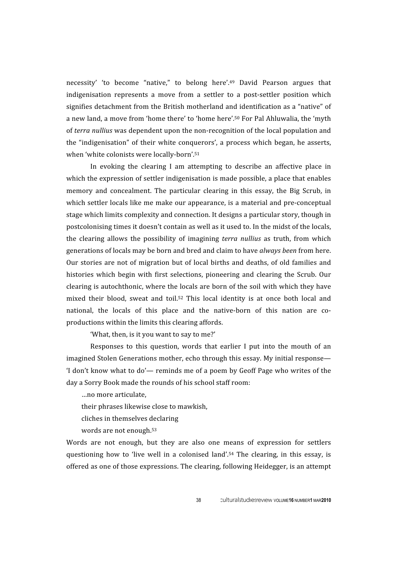necessity' 'to become "native," to belong here'.<sup>49</sup> David Pearson argues that indigenisation represents a move from a settler to a post-settler position which signifies detachment from the British motherland and identification as a "native" of a new land, a move from 'home there' to 'home here'.<sup>50</sup> For Pal Ahluwalia, the 'myth of *terra nullius* was dependent upon the non-recognition of the local population and the "indigenisation" of their white conquerors', a process which began, he asserts, when
'white
colonists
were
locally‐born'.51

In evoking the clearing I am attempting to describe an affective place in which the expression of settler indigenisation is made possible, a place that enables memory and concealment. The particular clearing in this essay, the Big Scrub, in which settler locals like me make our appearance, is a material and pre-conceptual stage
which
limits
complexity
and
connection.
It
designs
a
particular
story,
though
in postcolonising
times
it
doesn't
contain
as
well
as
it
used
to.
In
the
midst
of
the
locals, the clearing allows the possibility of imagining *terra nullius* as truth, from which generations
of
locals
may
be
born
and
bred
and
claim
to
have *always been*from
here. Our stories are not of migration but of local births and deaths, of old families and histories which begin with first selections, pioneering and clearing the Scrub. Our clearing
is
autochthonic,
where
the
locals
are
born
of
the
soil
with
which
they
have mixed their blood, sweat and toil.<sup>52</sup> This local identity is at once both local and national, the locals of this place and the native-born of this nation are coproductions
within
the
limits
this
clearing
affords.

'What, then, is it you want to say to me?'

Responses to this question, words that earlier I put into the mouth of an imagined Stolen Generations mother, echo through this essay. My initial response— 'I don't know what to do'— reminds me of a poem by Geoff Page who writes of the day
a
Sorry
Book
made
the
rounds
of
his
school
staff
room:

…no
more
articulate,

their
phrases
likewise
close
to
mawkish,

cliches
in
themselves
declaring

words
are
not
enough.53

Words are not enough, but they are also one means of expression for settlers questioning how to 'live well in a colonised land'.<sup>54</sup> The clearing, in this essay, is offered
as
one
of
those
expressions.
The
clearing,
following
Heidegger,
is
an
attempt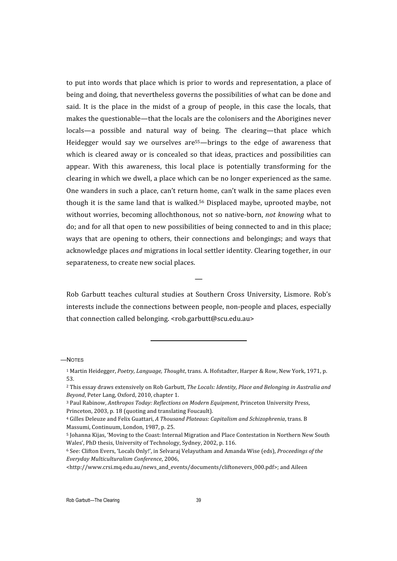to put into words that place which is prior to words and representation, a place of being
and
doing,
that
nevertheless
governs
the
possibilities
of
what
can
be
done
and said. It is the place in the midst of a group of people, in this case the locals, that makes
the
questionable—that
the
locals
are
the
colonisers
and
the
Aborigines
never locals—a possible and natural way of being. The clearing—that place which Heidegger would say we ourselves are<sup>55</sup>—brings to the edge of awareness that which is cleared away or is concealed so that ideas, practices and possibilities can appear. With this awareness, this local place is potentially transforming for the clearing
in
which
we
dwell,
a
place
which
can
be
no
longer
experienced
as
the
same. One wanders in such a place, can't return home, can't walk in the same places even though it is the same land that is walked.<sup>56</sup> Displaced maybe, uprooted maybe, not without worries, becoming allochthonous, not so native-born, not knowing what to do; and for all that open to new possibilities of being connected to and in this place; ways that are opening to others, their connections and belongings; and ways that acknowledge places *and* migrations in local settler identity. Clearing together, in our separateness,
to
create
new
social
places.

Rob Garbutt teaches cultural studies at Southern Cross University, Lismore. Rob's interests include the connections between people, non-people and places, especially that connection called belonging. <rob.garbutt@scu.edu.au>

<u> 1989 - Johann Stein, fransk politik (d. 1989)</u>

—

—NOTES

Rob Garbutt—The Clearing 39

<sup>&</sup>lt;sup>1</sup> Martin Heidegger, Poetry, Language, Thought, trans. A. Hofstadter, Harper & Row, New York, 1971, p. 53.

<sup>&</sup>lt;sup>2</sup> This essay draws extensively on Rob Garbutt, The Locals: Identity, Place and Belonging in Australia and *Beyond*,
Peter
Lang,
Oxford,
2010,
chapter
1.

<sup>&</sup>lt;sup>3</sup> Paul Rabinow, Anthropos Today: Reflections on Modern Equipment, Princeton University Press, Princeton, 2003, p. 18 (quoting and translating Foucault).

<sup>&</sup>lt;sup>4</sup> Gilles Deleuze and Felix Guattari, A Thousand Plateaus: Capitalism and Schizophrenia, trans. B Massumi,
Continuum,
London,
1987,
p.
25.

<sup>&</sup>lt;sup>5</sup> Johanna Kijas, 'Moving to the Coast: Internal Migration and Place Contestation in Northern New South Wales', PhD thesis, University of Technology, Sydney, 2002, p. 116.

<sup>&</sup>lt;sup>6</sup> See: Clifton Evers, 'Locals Only!', in Selvaraj Velayutham and Amanda Wise (eds), *Proceedings of the Everyday
Multiculturalism
Conference*, 2006,

<sup>&</sup>lt;http://www.crsi.mq.edu.au/news\_and\_events/documents/cliftonevers\_000.pdf>; and Aileen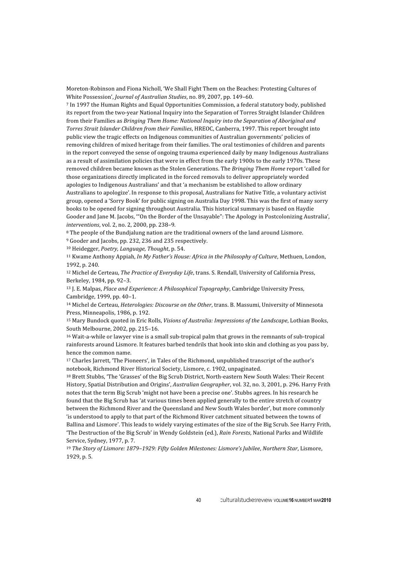Moreton-Robinson and Fiona Nicholl, 'We Shall Fight Them on the Beaches: Protesting Cultures of White
Possession', *Journal
of
Australian
Studies*,
no.
89,
2007,
pp.
149–60.

7
In
1997
the
Human
Rights
and
Equal
Opportunities
Commission,
a
federal
statutory
body,
published its report from the two-year National Inquiry into the Separation of Torres Straight Islander Children from their Families as *Bringing Them Home: National Inquiry into the Separation of Aboriginal and* Torres Strait Islander Children from their Families, HREOC, Canberra, 1997. This report brought into public view the tragic effects on Indigenous communities of Australian governments' policies of removing
children
of
mixed
heritage
from
their
families.
The
oral
testimonies
of
children
and
parents in
the
report
conveyed
the
sense
of
ongoing
trauma
experienced
daily
by
many
Indigenous
Australians as a result of assimilation policies that were in effect from the early 1900s to the early 1970s. These removed children became known as the Stolen Generations. The *Bringing Them Home* report 'called for those
organizations
directly
implicated
in
the
forced
removals
to
deliver
appropriately
worded apologies to Indigenous Australians' and that 'a mechanism be established to allow ordinary Australians to apologize'. In response to this proposal, Australians for Native Title, a voluntary activist group,
opened
a
'Sorry
Book'
for
public
signing
on
Australia
Day
1998.
This
was
the
first
of
many
sorry books
to
be
opened
for
signing
throughout
Australia.
This
historical
summary
is
based
on
Haydie Gooder and Jane M. Jacobs, "On the Border of the Unsayable": The Apology in Postcolonizing Australia', *interventions*, vol. 2, no. 2, 2000, pp. 238-9.

<sup>8</sup> The people of the Bundjalung nation are the traditional owners of the land around Lismore.

9
Gooder
and
Jacobs,
pp.
232,
236
and
235
respectively.

10
Heidegger, *Poetry,
Language,
Thought*,
p.
54.

<sup>11</sup> Kwame Anthony Appiah, *In My Father's House: Africa in the Philosophy of Culture*, Methuen, London, 1992,
p.
240.

<sup>12</sup> Michel de Certeau, The Practice of Everyday Life, trans. S. Rendall, University of California Press, Berkeley, 1984,
pp.
92–3.

<sup>13</sup> J. E. Malpas, *Place and Experience: A Philosophical Topography*, Cambridge University Press, Cambridge,
1999,
pp.
40–1.

<sup>14</sup> Michel de Certeau, *Heterologies: Discourse on the Other*, trans. B. Massumi, University of Minnesota Press,
Minneapolis,
1986,
p.
192.

<sup>15</sup> Mary Bundock quoted in Eric Rolls, Visions of Australia: Impressions of the Landscape, Lothian Books, South
Melbourne,
2002,
pp.
215–16.

<sup>16</sup> Wait-a-while or lawyer vine is a small sub-tropical palm that grows in the remnants of sub-tropical rainforests around Lismore. It features barbed tendrils that hook into skin and clothing as you pass by, hence
the
common
name.

<sup>17</sup> Charles Jarrett, 'The Pioneers', in Tales of the Richmond, unpublished transcript of the author's notebook,
Richmond
River
Historical
Society,
Lismore,
c.
1902,
unpaginated.

18 Brett Stubbs, 'The 'Grasses' of the Big Scrub District, North-eastern New South Wales: Their Recent History, Spatial Distribution and Origins', Australian Geographer, vol. 32, no. 3, 2001, p. 296. Harry Frith notes
that
the
term
Big
Scrub
'might
not
have
been
a
precise
one'.
Stubbs
agrees.
In
his
research
he found that the Big Scrub has 'at various times been applied generally to the entire stretch of country between
the
Richmond
River
and
the
Queensland
and
New
South
Wales
border',
but
more
commonly 'is understood to apply to that part of the Richmond River catchment situated between the towns of Ballina and Lismore'. This leads to widely varying estimates of the size of the Big Scrub. See Harry Frith, 'The Destruction of the Big Scrub' in Wendy Goldstein (ed.), Rain Forests, National Parks and Wildlife Service,
Sydney,
1977,
p.
7.

<sup>19</sup> *The
Story
of
Lismore:
1879–1929:
Fifty
Golden
Milestones:
Lismore's
Jubilee*, *Northern
Star*,
Lismore, 1929,
p.
5.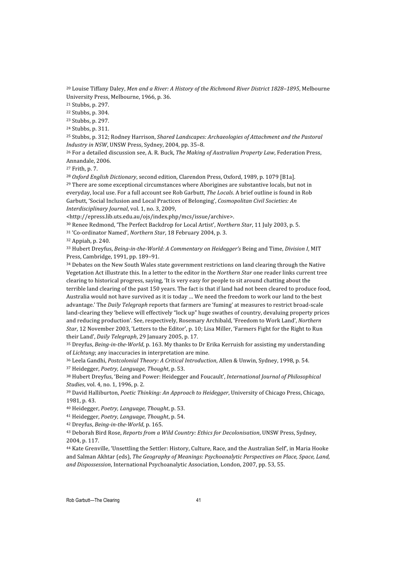<sup>20</sup> Louise Tiffany Daley, Men and a River: A History of the Richmond River District 1828-1895, Melbourne University
Press,
Melbourne,
1966,
p.
36.

21
Stubbs,
p.
297.

22
Stubbs,
p.
304.

23
Stubbs,
p.
297.

24
Stubbs,
p.
311.

25
Stubbs,
p.
312;
Rodney
Harrison, *Shared
Landscapes:
Archaeologies
of
Attachment
and
the
Pastoral Industry
in
NSW*,
UNSW
Press,
Sydney,
2004,
pp.
35–8.

<sup>26</sup> For a detailed discussion see, A. R. Buck, *The Making of Australian Property Law*, Federation Press, Annandale,
2006.

27
Frith,
p.
7.

<sup>28</sup> Oxford English Dictionary, second edition, Clarendon Press, Oxford, 1989, p. 1079 [B1a].

<sup>29</sup> There are some exceptional circumstances where Aborigines are substantive locals, but not in everyday, local use. For a full account see Rob Garbutt, *The Locals*. A brief outline is found in Rob Garbutt,
'Social
Inclusion
and
Local
Practices
of
Belonging', *Cosmopolitan
Civil
Societies:
An*  Interdisciplinary Journal, vol. 1, no. 3, 2009,

<http://epress.lib.uts.edu.au/ojs/index.php/mcs/issue/archive>.

<sup>30</sup> Renee Redmond, 'The Perfect Backdrop for Local Artist', Northern Star, 11 July 2003, p. 5.

<sup>31</sup> 'Co-ordinator Named', Northern Star, 18 February 2004, p. 3.

32
Appiah,
p.
240.

33 Hubert Dreyfus, Being-in-the-World: A Commentary on Heidegger's Being and Time, Division I, MIT Press,
Cambridge,
1991,
pp.
189–91.

<sup>34</sup> Debates on the New South Wales state government restrictions on land clearing through the Native Vegetation Act illustrate this. In a letter to the editor in the *Northern Star* one reader links current tree clearing
to
historical
progress,
saying,
'It
is
very
easy
for
people
to
sit
around
chatting
about
the terrible land clearing of the past 150 years. The fact is that if land had not been cleared to produce food, Australia would not have survived as it is today ... We need the freedom to work our land to the best advantage.' The *Daily Telegraph* reports that farmers are 'fuming' at measures to restrict broad-scale land-clearing they 'believe will effectively "lock up" huge swathes of country, devaluing property prices and
reducing
production'.
See,
respectively,
Rosemary
Archibald,
'Freedom
to
Work
Land', *Northern*  Star, 12 November 2003, 'Letters to the Editor', p. 10; Lisa Miller, 'Farmers Fight for the Right to Run their Land', *Daily Telegraph*, 29 January 2005, p. 17.

<sup>35</sup> Dreyfus, Being-in-the-World, p. 163. My thanks to Dr Erika Kerruish for assisting my understanding of *Lichtung*; any inaccuracies in interpretation are mine.

<sup>36</sup> Leela Gandhi, Postcolonial Theory: A Critical Introduction, Allen & Unwin, Sydney, 1998, p. 54.

37
Heidegger, *Poetry,
Language,
Thought*,
p.
53.

<sup>38</sup> Hubert Dreyfus, 'Being and Power: Heidegger and Foucault', International Journal of Philosophical *Studies*, vol. 4, no. 1, 1996, p. 2.

<sup>39</sup> David Halliburton, *Poetic Thinking: An Approach to Heidegger*, University of Chicago Press, Chicago, 1981,
p.
43.

40
Heidegger, *Poetry,
Language,
Thought*,
p.
53.

41
Heidegger, *Poetry,
Language,
Thought*,
p.
54.

<sup>42</sup> Dreyfus, Being-in-the-World, p. 165.

43 Deborah Bird Rose, Reports from a Wild Country: Ethics for Decolonisation, UNSW Press, Sydney, 2004,
p.
117.

<sup>44</sup> Kate Grenville, 'Unsettling the Settler: History, Culture, Race, and the Australian Self', in Maria Hooke and Salman Akhtar (eds), The Geography of Meanings: Psychoanalytic Perspectives on Place, Space, Land, and Dispossession, International Psychoanalytic Association, London, 2007, pp. 53, 55.